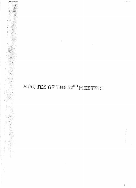## MINUTES OF THE 32ND MEETING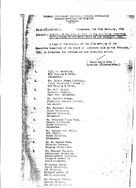## FEDERAL GOVERNMENT EMPLOYEES HOUSING FOUNDATION SHAHEED-E-MILLAT SECRETARIAT **ISLAMABAD**  $0.8938$

 $NO.8.4(2)/92-HF(A).$ 

## Islansbad, the 22nd Bebruary, 1992

**SUBJECT:- MINUTES OF THE 3PND METTING OF THE EXECUTIVE COMMITTEE** OF THE BOARD OF GOVERNORS HET D ON 4TH FEBRUARY. 7992

A copy of the minutes of the 32nd meeting of the Executive Committee of the Board of overnors held on 4th February, 1992, is formarded for information and necessary action.

> ( Hamid Hekin Khan ) Director (Finance/Admn.)

P.S. to Decretary, M/O Housing & Works, Islamabad.

Mr. Jalees Ahmad Siddigqui, Joint Secretary (Works), M/o Housing & Works,

Mr. M.I. Rajput Director General, Pak- PWD, Islanabad.

Mr. Mukhtar Ahmad, Financial Adviser (Works), Islamabad.

Mr. Muhammad Aslam, Joint Secretary, Cabinet Division. Islamabad.

Mr. Mohammad Yunus Khan, Deputy Secretary,<br>Works Division, Islamabad.

Mr. Sarshar Ali Malik, OSD (P&EC), Works Division, Islanabad.

Dr. M. Rasool Khan, Director General, Housing Foundation.

Mr. Manzoor Hussain, Additional Secretary. Establishment division, Co-opted member of  $C$ ut. $V$  alloewees.

Mr. Gulsar Assad, Deputy Secretury, N/e Interior, Co-optad member of Cat.II allottees

Mr. Mohammad Siddiq. Section Officar, M/o Religious Affair,